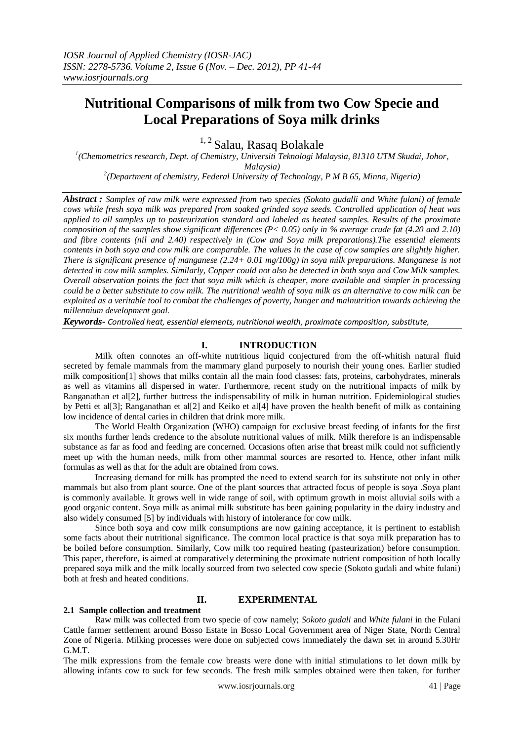# **Nutritional Comparisons of milk from two Cow Specie and Local Preparations of Soya milk drinks**

<sup>1, 2</sup> Salau, Rasaq Bolakale

*1 (Chemometrics research, Dept. of Chemistry, Universiti Teknologi Malaysia, 81310 UTM Skudai, Johor, Malaysia) 2 (Department of chemistry, Federal University of Technology, P M B 65, Minna, Nigeria)* 

*Abstract : Samples of raw milk were expressed from two species (Sokoto gudalli and White fulani) of female cows while fresh soya milk was prepared from soaked grinded soya seeds. Controlled application of heat was applied to all samples up to pasteurization standard and labeled as heated samples. Results of the proximate composition of the samples show significant differences (P< 0.05) only in % average crude fat (4.20 and 2.10) and fibre contents (nil and 2.40) respectively in (Cow and Soya milk preparations).The essential elements contents in both soya and cow milk are comparable. The values in the case of cow samples are slightly higher. There is significant presence of manganese (2.24+ 0.01 mg/100g) in soya milk preparations. Manganese is not detected in cow milk samples. Similarly, Copper could not also be detected in both soya and Cow Milk samples. Overall observation points the fact that soya milk which is cheaper, more available and simpler in processing could be a better substitute to cow milk. The nutritional wealth of soya milk as an alternative to cow milk can be exploited as a veritable tool to combat the challenges of poverty, hunger and malnutrition towards achieving the millennium development goal.*

*Keywords- Controlled heat, essential elements, nutritional wealth, proximate composition, substitute,*

## **I. INTRODUCTION**

Milk often connotes an off-white nutritious liquid conjectured from the off-whitish natural fluid secreted by female mammals from the mammary gland purposely to nourish their young ones. Earlier studied milk composition[1] shows that milks contain all the main food classes: fats, proteins, carbohydrates, minerals as well as vitamins all dispersed in water. Furthermore, recent study on the nutritional impacts of milk by Ranganathan et al[2], further buttress the indispensability of milk in human nutrition. Epidemiological studies by Petti et al[3]; Ranganathan et al[2] and Keiko et al[4] have proven the health benefit of milk as containing low incidence of dental caries in children that drink more milk.

The World Health Organization (WHO) campaign for exclusive breast feeding of infants for the first six months further lends credence to the absolute nutritional values of milk. Milk therefore is an indispensable substance as far as food and feeding are concerned. Occasions often arise that breast milk could not sufficiently meet up with the human needs, milk from other mammal sources are resorted to. Hence, other infant milk formulas as well as that for the adult are obtained from cows.

Increasing demand for milk has prompted the need to extend search for its substitute not only in other mammals but also from plant source. One of the plant sources that attracted focus of people is soya .Soya plant is commonly available. It grows well in wide range of soil, with optimum growth in moist alluvial soils with a good organic content. Soya milk as animal milk substitute has been gaining popularity in the dairy industry and also widely consumed [5] by individuals with history of intolerance for cow milk.

Since both soya and cow milk consumptions are now gaining acceptance, it is pertinent to establish some facts about their nutritional significance. The common local practice is that soya milk preparation has to be boiled before consumption. Similarly, Cow milk too required heating (pasteurization) before consumption. This paper, therefore, is aimed at comparatively determining the proximate nutrient composition of both locally prepared soya milk and the milk locally sourced from two selected cow specie (Sokoto gudali and white fulani) both at fresh and heated conditions.

## **II. EXPERIMENTAL**

#### **2.1 Sample collection and treatment**

Raw milk was collected from two specie of cow namely; *Sokoto gudali* and *White fulani* in the Fulani Cattle farmer settlement around Bosso Estate in Bosso Local Government area of Niger State, North Central Zone of Nigeria. Milking processes were done on subjected cows immediately the dawn set in around 5.30Hr G.M.T.

The milk expressions from the female cow breasts were done with initial stimulations to let down milk by allowing infants cow to suck for few seconds. The fresh milk samples obtained were then taken, for further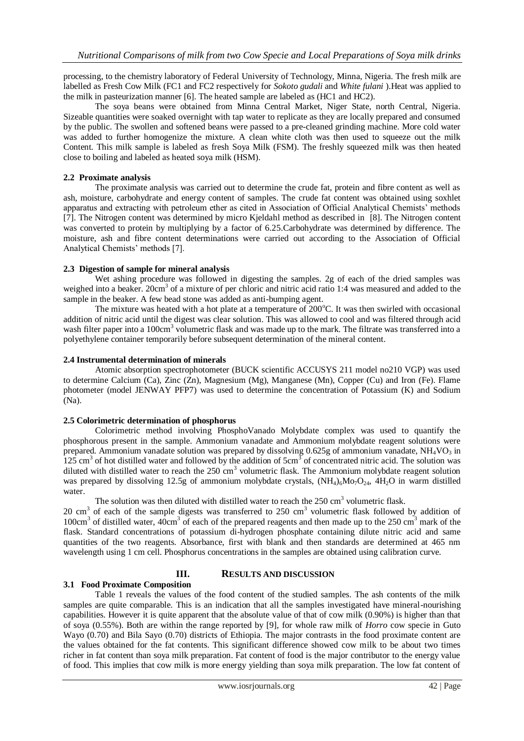processing, to the chemistry laboratory of Federal University of Technology, Minna, Nigeria. The fresh milk are labelled as Fresh Cow Milk (FC1 and FC2 respectively for *Sokoto gudali* and *White fulani* ).Heat was applied to the milk in pasteurization manner [6]. The heated sample are labeled as (HC1 and HC2).

The soya beans were obtained from Minna Central Market, Niger State, north Central, Nigeria. Sizeable quantities were soaked overnight with tap water to replicate as they are locally prepared and consumed by the public. The swollen and softened beans were passed to a pre-cleaned grinding machine. More cold water was added to further homogenize the mixture. A clean white cloth was then used to squeeze out the milk Content. This milk sample is labeled as fresh Soya Milk (FSM). The freshly squeezed milk was then heated close to boiling and labeled as heated soya milk (HSM).

### **2.2 Proximate analysis**

The proximate analysis was carried out to determine the crude fat, protein and fibre content as well as ash, moisture, carbohydrate and energy content of samples. The crude fat content was obtained using soxhlet apparatus and extracting with petroleum ether as cited in Association of Official Analytical Chemists' methods [7]. The Nitrogen content was determined by micro Kjeldahl method as described in [8]. The Nitrogen content was converted to protein by multiplying by a factor of 6.25.Carbohydrate was determined by difference. The moisture, ash and fibre content determinations were carried out according to the Association of Official Analytical Chemists' methods [7].

## **2.3 Digestion of sample for mineral analysis**

Wet ashing procedure was followed in digesting the samples. 2g of each of the dried samples was weighed into a beaker. 20cm<sup>3</sup> of a mixture of per chloric and nitric acid ratio 1:4 was measured and added to the sample in the beaker. A few bead stone was added as anti-bumping agent.

The mixture was heated with a hot plate at a temperature of  $200^{\circ}$ C. It was then swirled with occasional addition of nitric acid until the digest was clear solution. This was allowed to cool and was filtered through acid wash filter paper into a 100cm<sup>3</sup> volumetric flask and was made up to the mark. The filtrate was transferred into a polyethylene container temporarily before subsequent determination of the mineral content.

#### **2.4 Instrumental determination of minerals**

Atomic absorption spectrophotometer (BUCK scientific ACCUSYS 211 model no210 VGP) was used to determine Calcium (Ca), Zinc (Zn), Magnesium (Mg), Manganese (Mn), Copper (Cu) and Iron (Fe). Flame photometer (model JENWAY PFP7) was used to determine the concentration of Potassium (K) and Sodium (Na).

## **2.5 Colorimetric determination of phosphorus**

Colorimetric method involving PhosphoVanado Molybdate complex was used to quantify the phosphorous present in the sample. Ammonium vanadate and Ammonium molybdate reagent solutions were prepared. Ammonium vanadate solution was prepared by dissolving  $0.625g$  of ammonium vanadate, NH<sub>4</sub>VO<sub>3</sub> in  $125 \text{ cm}^3$  of hot distilled water and followed by the addition of  $5 \text{ cm}^3$  of concentrated nitric acid. The solution was diluted with distilled water to reach the  $250 \text{ cm}^3$  volumetric flask. The Ammonium molybdate reagent solution was prepared by dissolving 12.5g of ammonium molybdate crystals,  $(NH<sub>4</sub>)<sub>6</sub>Mo<sub>7</sub>O<sub>24</sub>$ , 4H<sub>2</sub>O in warm distilled water.

The solution was then diluted with distilled water to reach the  $250 \text{ cm}^3$  volumetric flask.

20 cm<sup>3</sup> of each of the sample digests was transferred to 250 cm<sup>3</sup> volumetric flask followed by addition of 100cm<sup>3</sup> of distilled water, 40cm<sup>3</sup> of each of the prepared reagents and then made up to the 250 cm<sup>3</sup> mark of the flask. Standard concentrations of potassium di-hydrogen phosphate containing dilute nitric acid and same quantities of the two reagents. Absorbance, first with blank and then standards are determined at 465 nm wavelength using 1 cm cell. Phosphorus concentrations in the samples are obtained using calibration curve.

# **III. RESULTS AND DISCUSSION**

# **3.1 Food Proximate Composition**

Table 1 reveals the values of the food content of the studied samples. The ash contents of the milk samples are quite comparable. This is an indication that all the samples investigated have mineral-nourishing capabilities. However it is quite apparent that the absolute value of that of cow milk (0.90%) is higher than that of soya (0.55%). Both are within the range reported by [9], for whole raw milk of *Horro* cow specie in Guto Wayo (0.70) and Bila Sayo (0.70) districts of Ethiopia. The major contrasts in the food proximate content are the values obtained for the fat contents. This significant difference showed cow milk to be about two times richer in fat content than soya milk preparation. Fat content of food is the major contributor to the energy value of food. This implies that cow milk is more energy yielding than soya milk preparation. The low fat content of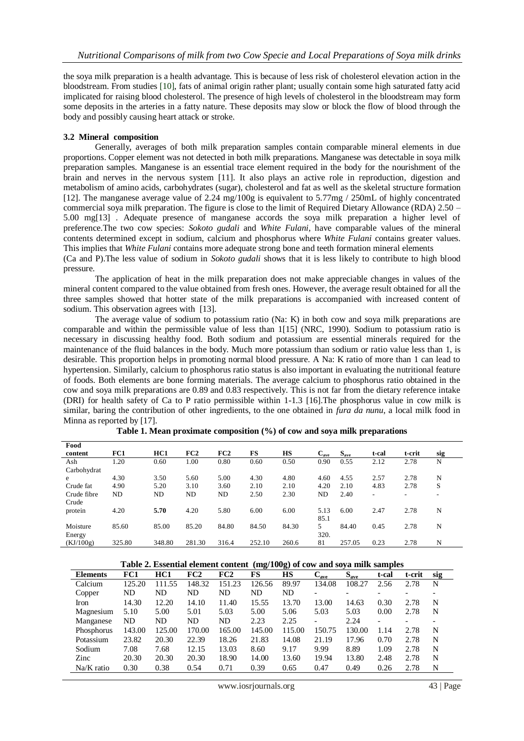the soya milk preparation is a health advantage. This is because of less risk of cholesterol elevation action in the bloodstream. From studies [10], fats of animal origin rather plant; usually contain some high saturated fatty acid implicated for raising blood cholesterol. The presence of high levels of cholesterol in the bloodstream may form some deposits in the arteries in a fatty nature. These deposits may slow or block the flow of blood through the body and possibly causing heart attack or stroke.

#### **3.2 Mineral composition**

Generally, averages of both milk preparation samples contain comparable mineral elements in due proportions. Copper element was not detected in both milk preparations. Manganese was detectable in soya milk preparation samples. Manganese is an essential trace element required in the body for the nourishment of the brain and nerves in the nervous system [11]. It also plays an active role in reproduction, digestion and metabolism of amino acids, carbohydrates (sugar), cholesterol and fat as well as the skeletal structure formation [12]. The manganese average value of 2.24 mg/100g is equivalent to 5.77mg / 250mL of highly concentrated commercial soya milk preparation. The figure is close to the limit of Required Dietary Allowance (RDA) 2.50 – 5.00 mg[13] . Adequate presence of manganese accords the soya milk preparation a higher level of preference.The two cow species: *Sokoto gudali* and *White Fulani,* have comparable values of the mineral contents determined except in sodium, calcium and phosphorus where *White Fulani* contains greater values. This implies that *White Fulani* contains more adequate strong bone and teeth formation mineral elements (Ca and P).The less value of sodium in *Sokoto gudali* shows that it is less likely to contribute to high blood pressure.

The application of heat in the milk preparation does not make appreciable changes in values of the mineral content compared to the value obtained from fresh ones. However, the average result obtained for all the three samples showed that hotter state of the milk preparations is accompanied with increased content of sodium. This observation agrees with [13].

The average value of sodium to potassium ratio (Na: K) in both cow and soya milk preparations are comparable and within the permissible value of less than 1[15] (NRC, 1990). Sodium to potassium ratio is necessary in discussing healthy food. Both sodium and potassium are essential minerals required for the maintenance of the fluid balances in the body. Much more potassium than sodium or ratio value less than 1, is desirable. This proportion helps in promoting normal blood pressure. A Na: K ratio of more than 1 can lead to hypertension. Similarly, calcium to phosphorus ratio status is also important in evaluating the nutritional feature of foods. Both elements are bone forming materials. The average calcium to phosphorus ratio obtained in the cow and soya milk preparations are 0.89 and 0.83 respectively. This is not far from the dietary reference intake (DRI) for health safety of Ca to P ratio permissible within 1-1.3 [16].The phosphorus value in cow milk is similar, baring the contribution of other ingredients, to the one obtained in *fura da nunu*, a local milk food in Minna as reported by [17].

| Food        |        |        |        |       |        |           |           |           |       |        |     |
|-------------|--------|--------|--------|-------|--------|-----------|-----------|-----------|-------|--------|-----|
| content     | FC1    | HC1    | FC2    | FC2   | FS     | <b>HS</b> | $C_{ave}$ | $S_{ave}$ | t-cal | t-crit | sig |
| Ash         | 1.20   | 0.60   | 1.00   | 0.80  | 0.60   | 0.50      | 0.90      | 0.55      | 2.12  | 2.78   | N   |
| Carbohydrat |        |        |        |       |        |           |           |           |       |        |     |
| e           | 4.30   | 3.50   | 5.60   | 5.00  | 4.30   | 4.80      | 4.60      | 4.55      | 2.57  | 2.78   | N   |
| Crude fat   | 4.90   | 5.20   | 3.10   | 3.60  | 2.10   | 2.10      | 4.20      | 2.10      | 4.83  | 2.78   | S   |
| Crude fibre | ND     | ND     | ND     | ND    | 2.50   | 2.30      | ND        | 2.40      | ۰.    | -      | ۰   |
| Crude       |        |        |        |       |        |           |           |           |       |        |     |
| protein     | 4.20   | 5.70   | 4.20   | 5.80  | 6.00   | 6.00      | 5.13      | 6.00      | 2.47  | 2.78   | N   |
|             |        |        |        |       |        |           | 85.1      |           |       |        |     |
| Moisture    | 85.60  | 85.00  | 85.20  | 84.80 | 84.50  | 84.30     | 5.        | 84.40     | 0.45  | 2.78   | N   |
| Energy      |        |        |        |       |        |           | 320.      |           |       |        |     |
| (KJ/100g)   | 325.80 | 348.80 | 281.30 | 316.4 | 252.10 | 260.6     | 81        | 257.05    | 0.23  | 2.78   | N   |

|  | Table 1. Mean proximate composition (%) of cow and soya milk preparations |  |
|--|---------------------------------------------------------------------------|--|

**Table 2. Essential element content (mg/100g) of cow and soya milk samples**

| <b>Elements</b> | FC1    | HC1    | FC2    | FC2    | $\tilde{\phantom{a}}$<br>FS | $\tilde{}$<br>НS | $\mathbf{v}_{ave}$ | $S_{ave}$ | t-cal | t-crit                   | sig |
|-----------------|--------|--------|--------|--------|-----------------------------|------------------|--------------------|-----------|-------|--------------------------|-----|
| Calcium         | 125.20 | 111.55 | 148.32 | 151.23 | 126.56                      | 89.97            | 134.08             | 108.27    | 2.56  | 2.78                     | N   |
| Copper          | ND     | ND     | ND     | ND     | ND                          | ND               |                    |           |       | -                        |     |
| Iron            | 14.30  | 12.20  | 14.10  | 11.40  | 15.55                       | 13.70            | 13.00              | 14.63     | 0.30  | 2.78                     | N   |
| Magnesium       | 5.10   | 5.00   | 5.01   | 5.03   | 5.00                        | 5.06             | 5.03               | 5.03      | 0.00  | 2.78                     | N   |
| Manganese       | ND     | ND     | ND     | ND     | 2.23                        | 2.25             |                    | 2.24      | -     | $\overline{\phantom{0}}$ |     |
| Phosphorus      | 143.00 | 125.00 | 170.00 | 165.00 | 145.00                      | 115.00           | 150.75             | 130.00    | 1.14  | 2.78                     | N   |
| Potassium       | 23.82  | 20.30  | 22.39  | 18.26  | 21.83                       | 14.08            | 21.19              | 17.96     | 0.70  | 2.78                     | N   |
| Sodium          | 7.08   | 7.68   | 12.15  | 13.03  | 8.60                        | 9.17             | 9.99               | 8.89      | 1.09  | 2.78                     | N   |
| Zinc            | 20.30  | 20.30  | 20.30  | 18.90  | 14.00                       | 13.60            | 19.94              | 13.80     | 2.48  | 2.78                     | N   |
| Na/K ratio      | 0.30   | 0.38   | 0.54   | 0.71   | 0.39                        | 0.65             | 0.47               | 0.49      | 0.26  | 2.78                     | N   |